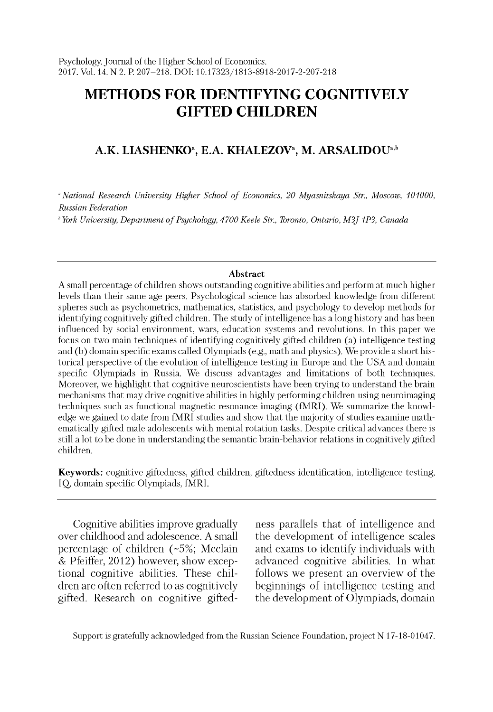# **METHODS FOR IDENTIFYING COGNITIVELY GIFTED CHILDREN**

## A.K. LIASHENKO<sup>a</sup>, E.A. KHALEZOV<sup>a</sup>, M. ARSALIDOU<sup>a,b</sup>

<sup>a</sup> National Research University Higher School of Economics, 20 Myasnitskaya Str., Moscow, 101000, *Russian Federation*

*b York University, Department o f Psychology, 4700 Keele Str., Toronto, Ontario, M3J 1P3, Canada*

#### **Abstract**

A small percentage of children shows outstanding cognitive abilities and perform at much higher levels than their same age peers. Psychological science has absorbed knowledge from different spheres such as psychometrics, mathematics, statistics, and psychology to develop methods for identifying cognitively gifted children. The study of intelligence has a long history and has been influenced by social environment, wars, education systems and revolutions. In this paper we focus on two main techniques of identifying cognitively gifted children (a) intelligence testing and (b) domain specific exams called Olympiads (e.g., math and physics). We provide a short historical perspective of the evolution of intelligence testing in Europe and the USA and domain specific Olympiads in Russia. We discuss advantages and limitations of both techniques. Moreover, we highlight that cognitive neuroscientists have been trying to understand the brain mechanisms that may drive cognitive abilities in highly performing children using neuroimaging techniques such as functional magnetic resonance imaging (fM RI). We summarize the knowledge we gained to date from fMRI studies and show that the majority of studies examine mathematically gifted male adolescents with mental rotation tasks. Despite critical advances there is still a lot to be done in understanding the semantic brain-behavior relations in cognitively gifted children.

**Keywords:** cognitive giftedness, gifted children, giftedness identification, intelligence testing, IQ, domain specific Olympiads, fMRI.

Cognitive abilities improve gradually over childhood and adolescence. A small percentage of children (~5%; Mcclain & Pfeiffer, 2012) however, show exceptional cognitive abilities. These children are often referred to as cognitively gifted. Research on cognitive giftedness parallels that of intelligence and the development of intelligence scales and exams to identify individuals with advanced cognitive abilities. In what follows we present an overview of the beginnings of intelligence testing and the development of Olympiads, domain

Support is gratefully acknowledged from the Russian Science Foundation, project N 17-18-01047.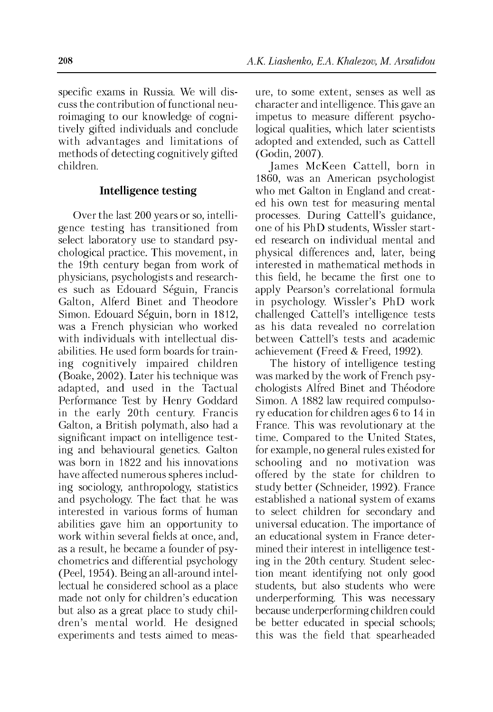specific exams in Russia. We will discuss the contribution of functional neuroimaging to our knowledge of cognitively gifted individuals and conclude with advantages and limitations of methods of detecting cognitively gifted children.

#### **Intelligence testing**

Over the last 200 years or so, intelligence testing has transitioned from select laboratory use to standard psychological practice. This movement, in the 19th century began from work of physicians, psychologists and researches such as Edouard Seguin, Francis Galton, Alferd Binet and Theodore Simon. Edouard Séguin, born in 1812, was a French physician who worked with individuals with intellectual disabilities. He used form boards for training cognitively impaired children (Boake, 2002). Later his technique was adapted, and used in the Tactual Performance Test by Henry Goddard in the early 20th century. Francis Galton, a British polymath, also had a significant impact on intelligence testing and behavioural genetics. Galton was born in 1822 and his innovations have affected numerous spheres including sociology, anthropology, statistics and psychology. The fact that he was interested in various forms of human abilities gave him an opportunity to work within several fields at once, and, as a result, he became a founder of psychometrics and differential psychology (Peel, 1954). Being an all-around intellectual he considered school as a place made not only for children's education but also as a great place to study children's mental world. He designed experiments and tests aimed to measure, to some extent, senses as well as character and intelligence. This gave an impetus to measure different psychological qualities, which later scientists adopted and extended, such as Cattell (Godin, 2007).

James McKeen Cattell, born in 1860, was an American psychologist who met Galton in England and created his own test for measuring mental processes. During Cattell's guidance, one of his PhD students, Wissler started research on individual mental and physical differences and, later, being interested in mathematical methods in this field, he became the first one to apply Pearson's correlational formula in psychology. Wissler's PhD work challenged Cattell's intelligence tests as his data revealed no correlation between Cattell's tests and academic achievement (Freed & Freed, 1992).

The history of intelligence testing was marked by the work of French psychologists Alfred Binet and Théodore Simon. A 1882 law required compulsory education for children ages 6 to 14 in France. This was revolutionary at the time. Compared to the United States, for example, no general rules existed for schooling and no motivation was offered by the state for children to study better (Schneider, 1992). France established a national system of exams to select children for secondary and universal education. The importance of an educational system in France determined their interest in intelligence testing in the 20th century. Student selection meant identifying not only good students, but also students who were underperforming. This was necessary because underperforming children could be better educated in special schools; this was the field that spearheaded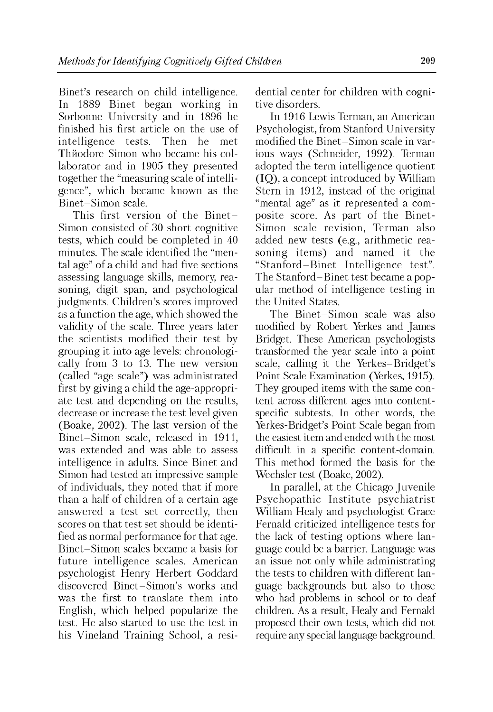Binet's research on child intelligence. In 1889 Binet began working in Sorbonne University and in 1896 he finished his first article on the use of intelligence tests. Then he met Th $i$ odore Simon who became his collaborator and in 1905 they presented together the "measuring scale of intelligence", which became known as the Binet-Simon scale.

This first version of the Binet-Simon consisted of 30 short cognitive tests, which could be completed in 40 minutes. The scale identified the "mental age" of a child and had five sections assessing language skills, memory, reasoning, digit span, and psychological judgments. Children's scores improved as a function the age, which showed the validity of the scale. Three years later the scientists modified their test by grouping it into age levels: chronologically from 3 to 13. The new version (called "age scale") was administrated first by giving a child the age-appropriate test and depending on the results, decrease or increase the test level given (Boake, 2002). The last version of the Binet-Simon scale, released in 1911, was extended and was able to assess intelligence in adults. Since Binet and Simon had tested an impressive sample of individuals, they noted that if more than a half of children of a certain age answered a test set correctly, then scores on that test set should be identified as normal performance for that age. Binet-Simon scales became a basis for future intelligence scales. American psychologist Henry Herbert Goddard discovered Binet-Simon's works and was the first to translate them into English, which helped popularize the test. He also started to use the test in his Vineland Training School, a residential center for children with cognitive disorders.

In 1916 Lewis Terman, an American Psychologist, from Stanford University modified the Binet-Simon scale in various ways (Schneider, 1992). Terman adopted the term intelligence quotient (IQ), a concept introduced by William Stern in 1912, instead of the original "mental age" as it represented a composite score. As part of the Binet-Simon scale revision, Terman also added new tests (e.g., arithmetic reasoning items) and named it the "Stanford-Binet Intelligence test". The Stanford-Binet test became a popular method of intelligence testing in the United States.

The Binet-Simon scale was also modified by Robert Yerkes and James Bridget. These American psychologists transformed the year scale into a point scale, calling it the Yerkes-Bridget's Point Scale Examination (Yerkes, 1915). They grouped items with the same content across different ages into contentspecific subtests. In other words, the Yerkes-Bridget's Point Scale began from the easiest item and ended with the most difficult in a specific content-domain. This method formed the basis for the Wechsler test (Boake, 2002).

In parallel, at the Chicago Juvenile Psychopathic Institute psychiatrist William Healy and psychologist Grace Fernald criticized intelligence tests for the lack of testing options where language could be a barrier. Language was an issue not only while administrating the tests to children with different language backgrounds but also to those who had problems in school or to deaf children. As a result, Healy and Fernald proposed their own tests, which did not require any special language background.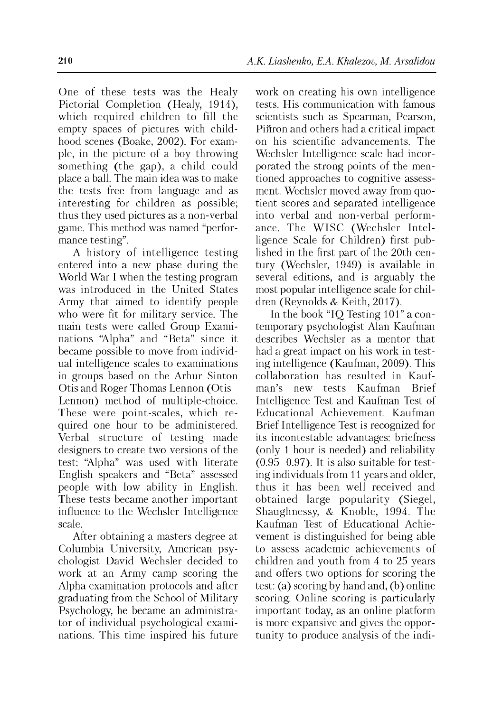One of these tests was the Healy Pictorial Completion (Healy, 1914), which required children to fill the empty spaces of pictures with childhood scenes (Boake, 2002). For example, in the picture of a boy throwing something (the gap), a child could place a ball. The main idea was to make the tests free from language and as interesting for children as possible; thus they used pictures as a non-verbal game. This method was named "performance testing".

A history of intelligence testing entered into a new phase during the World War I when the testing program was introduced in the United States Army that aimed to identify people who were fit for military service. The main tests were called Group Examinations "Alpha" and "Beta" since it became possible to move from individual intelligence scales to examinations in groups based on the Arhur Sinton Otis and Roger Thomas Lennon (Otis-Lennon) method of multiple-choice. These were point-scales, which required one hour to be administered. Verbal structure of testing made designers to create two versions of the test: "Alpha" was used with literate English speakers and "Beta" assessed people with low ability in English. These tests became another important influence to the Wechsler Intelligence scale.

After obtaining a masters degree at Columbia University, American psychologist David Wechsler decided to work at an Army camp scoring the Alpha examination protocols and after graduating from the School of Military Psychology, he became an administrator of individual psychological examinations. This time inspired his future work on creating his own intelligence tests. His communication with famous scientists such as Spearman, Pearson, Piйron and others had a critical impact on his scientific advancements. The Wechsler Intelligence scale had incorporated the strong points of the mentioned approaches to cognitive assessment. Wechsler moved away from quotient scores and separated intelligence into verbal and non-verbal performance. The WISC (Wechsler Intelligence Scale for Children) first published in the first part of the 20th century (Wechsler, 1949) is available in several editions, and is arguably the most popular intelligence scale for children (Reynolds & Keith, 2017).

In the book "IQ Testing 101" a contemporary psychologist Alan Kaufman describes Wechsler as a mentor that had a great impact on his work in testing intelligence (Kaufman, 2009). This collaboration has resulted in Kaufman's new tests Kaufman Brief Intelligence Test and Kaufman Test of Educational Achievement. Kaufman Brief Intelligence Test is recognized for its incontestable advantages: briefness (only 1 hour is needed) and reliability  $(0.95-0.97)$ . It is also suitable for testing individuals from 11 years and older, thus it has been well received and obtained large popularity (Siegel, Shaughnessy, & Knoble, 1994. The Kaufman Test of Educational Achievement is distinguished for being able to assess academic achievements of children and youth from 4 to 25 years and offers two options for scoring the test: (a) scoring by hand and, (b) online scoring. Online scoring is particularly important today, as an online platform is more expansive and gives the opportunity to produce analysis of the indi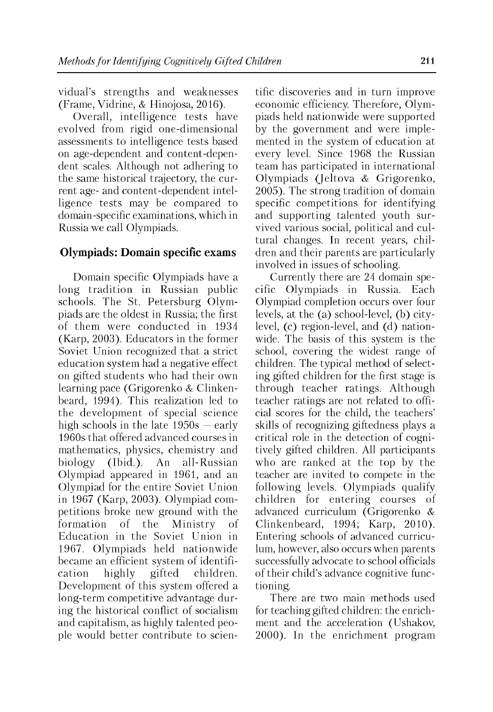vidual's strengths and weaknesses (Frame, Vidrine, & Hinojosa, 2016).

Overall, intelligence tests have evolved from rigid one-dimensional assessments to intelligence tests based on age-dependent and content-dependent scales. Although not adhering to the same historical trajectory, the current age- and content-dependent intelligence tests may be compared to domain-specific examinations, which in Russia we call Olympiads.

## **Olympiads: Domain specific exams**

Domain specific Olympiads have a long tradition in Russian public schools. The St. Petersburg Olympiads are the oldest in Russia; the first of them were conducted in 1934 (Karp, 2003). Educators in the former Soviet Union recognized that a strict education system had a negative effect on gifted students who had their own learning pace (Grigorenko & Clinkenbeard, 1994). This realization led to the development of special science high schools in the late 1950s — early 1960s that offered advanced courses in mathematics, physics, chemistry and biology (Ibid.). An all-Russian Olympiad appeared in 1961, and an Olympiad for the entire Soviet Union in 1967 (Karp, 2003). Olympiad competitions broke new ground with the formation of the Ministry of Education in the Soviet Union in 1967. Olympiads held nationwide became an efficient system of identification highly gifted children. Development of this system offered a long-term competitive advantage during the historical conflict of socialism and capitalism, as highly talented people would better contribute to scientific discoveries and in turn improve economic efficiency. Therefore, Olympiads held nationwide were supported by the government and were implemented in the system of education at every level. Since 1968 the Russian team has participated in international Olympiads (Jeltova & Grigorenko, 2005). The strong tradition of domain specific competitions for identifying and supporting talented youth survived various social, political and cultural changes. In recent years, children and their parents are particularly involved in issues of schooling.

Currently there are 24 domain specific Olympiads in Russia. Each Olympiad completion occurs over four levels, at the (a) school-level, (b) citylevel, (c) region-level, and (d) nationwide. The basis of this system is the school, covering the widest range of children. The typical method of selecting gifted children for the first stage is through teacher ratings. Although teacher ratings are not related to official scores for the child, the teachers' skills of recognizing giftedness plays a critical role in the detection of cognitively gifted children. All participants who are ranked at the top by the teacher are invited to compete in the following levels. Olympiads qualify children for entering courses of advanced curriculum (Grigorenko & Clinkenbeard, 1994; Karp, 2010). Entering schools of advanced curriculum, however, also occurs when parents successfully advocate to school officials of their child's advance cognitive functioning.

There are two main methods used for teaching gifted children: the enrichment and the acceleration (Ushakov, 2000). In the enrichment program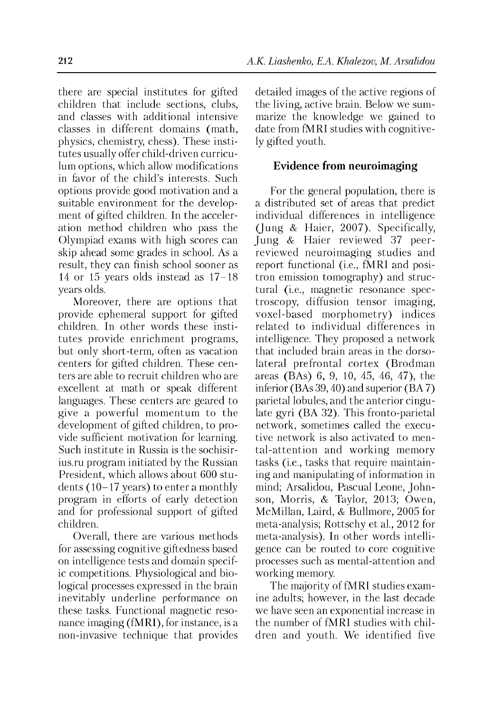there are special institutes for gifted children that include sections, clubs, and classes with additional intensive classes in different domains (math, physics, chemistry, chess). These institutes usually offer child-driven curriculum options, which allow modifications in favor of the child's interests. Such options provide good motivation and a suitable environment for the development of gifted children. In the acceleration method children who pass the Olympiad exams with high scores can skip ahead some grades in school. As a result, they can finish school sooner as 14 or 15 years olds instead as 17-18 years olds.

Moreover, there are options that provide ephemeral support for gifted children. In other words these institutes provide enrichment programs, but only short-term, often as vacation centers for gifted children. These centers are able to recruit children who are excellent at math or speak different languages. These centers are geared to give a powerful momentum to the development of gifted children, to provide sufficient motivation for learning. Such institute in Russia is the sochisirius.ru program initiated by the Russian President, which allows about 600 students (10-17 years) to enter a monthly program in efforts of early detection and for professional support of gifted children.

Overall, there are various methods for assessing cognitive giftedness based on intelligence tests and domain specific competitions. Physiological and biological processes expressed in the brain inevitably underline performance on these tasks. Functional magnetic resonance imaging (fMRI), for instance, is a non-invasive technique that provides detailed images of the active regions of the living, active brain. Below we summarize the knowledge we gained to date from fMRI studies with cognitively gifted youth.

## **Evidence from neuroimaging**

For the general population, there is a distributed set of areas that predict individual differences in intelligence (Jung & Haier, 2007). Specifically, Jung & Haier reviewed 37 peerreviewed neuroimaging studies and report functional (i.e., fMRI and positron emission tomography) and structural (i.e., magnetic resonance spectroscopy, diffusion tensor imaging, voxel-based morphometry) indices related to individual differences in intelligence. They proposed a network that included brain areas in the dorsolateral prefrontal cortex (Brodman areas (BAs) 6, 9, 10, 45, 46, 47), the inferior (BAs 39, 40) and superior (BA 7) parietal lobules, and the anterior cingulate gyri (BA 32). This fronto-parietal network, sometimes called the executive network is also activated to mental-attention and working memory tasks (i.e., tasks that require maintaining and manipulating of information in mind; Arsalidou, Pascual Leone, Johnson, Morris, & Taylor, 2013; Owen, McMillan, Laird, & Bullmore, 2005 for meta-analysis; Rottschy et al., 2012 for meta-analysis). In other words intelligence can be routed to core cognitive processes such as mental-attention and working memory.

The majority of fMRI studies examine adults; however, in the last decade we have seen an exponential increase in the number of fMRI studies with children and youth. We identified five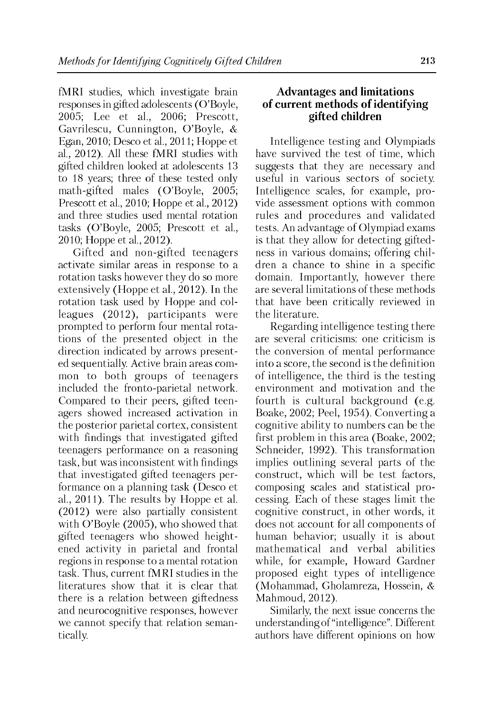fMRI studies, which investigate brain responses in gifted adolescents (O'Boyle, 2o05; Lee et al., 2006; Prescott, Gavrilescu, Cunnington, O'Boyle, & Egan, 2010; Desco et al., 2011; Hoppe et al., 2012). All these fMRI studies with gifted children looked at adolescents 13 to 18 years; three of these tested only math-gifted males (O'Boyle, 2005; Prescott et al., 2010; Hoppe et al., 2012) and three studies used mental rotation tasks (O'Boyle, 2005; Prescott et al., 2010; Hoppe et al., 2012).

Gifted and non-gifted teenagers activate similar areas in response to a rotation tasks however they do so more extensively (Hoppe et al., 2012). In the rotation task used by Hoppe and colleagues (2012), participants were prompted to perform four mental rotations of the presented object in the direction indicated by arrows presented sequentially. Active brain areas common to both groups of teenagers included the fronto-parietal network. Compared to their peers, gifted teenagers showed increased activation in the posterior parietal cortex, consistent with findings that investigated gifted teenagers performance on a reasoning task, but was inconsistent with findings that investigated gifted teenagers performance on a planning task (Desco et al., 2011). The results by Hoppe et al. (2012) were also partially consistent with O'Boyle (2005), who showed that gifted teenagers who showed heightened activity in parietal and frontal regions in response to a mental rotation task. Thus, current fMRI studies in the literatures show that it is clear that there is a relation between giftedness and neurocognitive responses, however we cannot specify that relation semantically.

## **Advantages and limitations of current methods of identifying gifted children**

Intelligence testing and Olympiads have survived the test of time, which suggests that they are necessary and useful in various sectors of society. Intelligence scales, for example, provide assessment options with common rules and procedures and validated tests. An advantage of Olympiad exams is that they allow for detecting giftedness in various domains; offering children a chance to shine in a specific domain. Importantly, however there are several limitations of these methods that have been critically reviewed in the literature.

Regarding intelligence testing there are several criticisms: one criticism is the conversion of mental performance into a score, the second is the definition of intelligence, the third is the testing environment and motivation and the fourth is cultural background (e.g. Boake, 2002; Peel, 1954). Converting a cognitive ability to numbers can be the first problem in this area (Boake, 2002; Schneider, 1992). This transformation implies outlining several parts of the construct, which will be test factors, composing scales and statistical processing. Each of these stages limit the cognitive construct, in other words, it does not account for all components of human behavior; usually it is about mathematical and verbal abilities while, for example, Howard Gardner proposed eight types of intelligence (Mohammad, Gholamreza, Hossein, & Mahmoud, 2012).

Similarly, the next issue concerns the understanding of "intelligence". Different authors have different opinions on how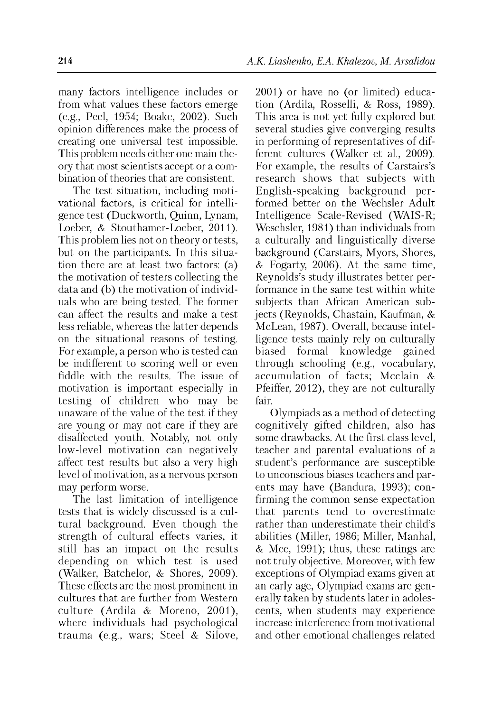many factors intelligence includes or from what values these factors emerge (e.g., Peel, 1954; Boake, 2002). Such opinion differences make the process of creating one universal test impossible. This problem needs either one main theory that most scientists accept or a combination of theories that are consistent.

The test situation, including motivational factors, is critical for intelligence test (Duckworth, Quinn, Lynam, Loeber, & Stouthamer-Loeber, 2011). This problem lies not on theory or tests, but on the participants. In this situation there are at least two factors: (a) the motivation of testers collecting the data and (b) the motivation of individuals who are being tested. The former can affect the results and make a test less reliable, whereas the latter depends on the situational reasons of testing. For example, a person who is tested can be indifferent to scoring well or even fiddle with the results. The issue of motivation is important especially in testing of children who may be unaware of the value of the test if they are young or may not care if they are disaffected youth. Notably, not only low-level motivation can negatively affect test results but also a very high level of motivation, as a nervous person may perform worse.

The last limitation of intelligence tests that is widely discussed is a cultural background. Even though the strength of cultural effects varies, it still has an impact on the results depending on which test is used (Walker, Batchelor, & Shores, 2009). These effects are the most prominent in cultures that are further from Western culture (Ardila & Moreno, 2001), where individuals had psychological trauma (e.g., wars; Steel & Silove, 2001) or have no (or limited) education (Ardila, Rosselli, & Ross, 1989). This area is not yet fully explored but several studies give converging results in performing of representatives of different cultures (Walker et al., 2009). For example, the results of Carstairs's research shows that subjects with English-speaking background performed better on the Wechsler Adult Intelligence Scale-Revised (WAIS-R; Weschsler, 1981) than individuals from a culturally and linguistically diverse background (Carstairs, Myors, Shores, & Fogarty, 2006). At the same time, Reynolds's study illustrates better performance in the same test within white subjects than African American subjects (Reynolds, Chastain, Kaufman, & McLean, 1987). Overall, because intelligence tests mainly rely on culturally biased formal knowledge gained through schooling (e.g., vocabulary, accumulation of facts; Mcclain & Pfeiffer, 2012), they are not culturally fair.

Olympiads as a method of detecting cognitively gifted children, also has some drawbacks. At the first class level, teacher and parental evaluations of a student's performance are susceptible to unconscious biases teachers and parents may have (Bandura, 1993); confirming the common sense expectation that parents tend to overestimate rather than underestimate their child's abilities (Miller, 1986; Miller, Manhal, & Mee, 1991); thus, these ratings are not truly objective. Moreover, with few exceptions of Olympiad exams given at an early age, Olympiad exams are generally taken by students later in adolescents, when students may experience increase interference from motivational and other emotional challenges related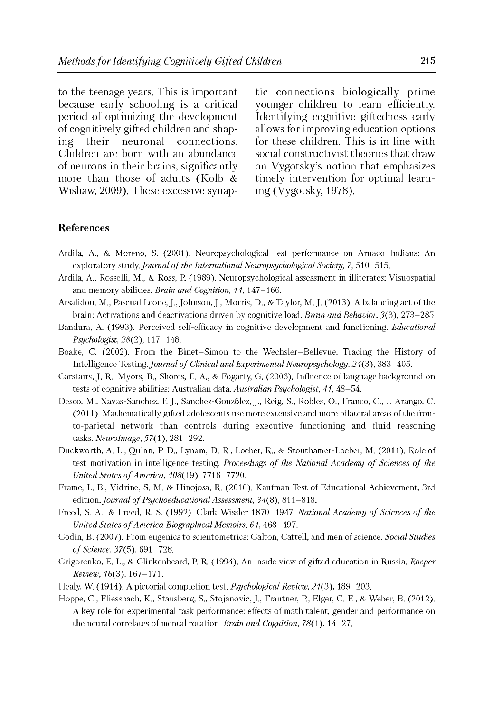to the teenage years. This is important because early schooling is a critical period of optimizing the development of cognitively gifted children and shaping their neuronal connections. Children are born with an abundance of neurons in their brains, significantly more than those of adults (Kolb & Wishaw, 2009). These excessive synaptic connections biologically prime younger children to learn efficiently. Identifying cognitive giftedness early allows for improving education options for these children. This is in line with social constructivist theories that draw on Vygotsky's notion that emphasizes timely intervention for optimal learning (Vygotsky, 1978).

### **References**

- Ardila, A., & Moreno, S. (2001). Neuropsychological test performance on Aruaco Indians: An exploratory study. *Journal of the International Neuropsychological Society, 7, 510–515.*
- Ardila, A., Rosselli, M., & Ross, P. (1989). Neuropsychological assessment in illiterates: Visuospatial and memory abilities. *Brain and Cognition, 11,* 147-166.
- Arsalidou, M., Pascual Leone, J., Johnson, J., Morris, D., & Taylor, M. J. (2013). A balancing act of the brain: Activations and deactivations driven by cognitive load. *Brain and Behavior,* 3(3), 273-285
- Bandura, A. (1993). Perceived self-efficacy in cognitive development and functioning. *Educational Psychologist, 28(2),* 117-148.
- Boake, C. (2002). From the Binet-Simon to the Wechsler-Bellevue: Tracing the History of Intelligence Testing. *Journal of Clinical and Experimental Neuropsychology*, 24(3), 383-405.
- Carstairs, J. R., Myors, B., Shores, E. A., & Fogarty, G. (2006). Influence of language background on tests of cognitive abilities: Australian data. *Australian Psychologist, 41,* 48-54.
- Desco, M., Navas-Sanchez, F. J., Sanchez-Gonz6lez, J., Reig, S., Robles, O., Franco, C.....Arango, C. (2011). Mathematically gifted adolescents use more extensive and more bilateral areas of the fronto-parietal network than controls during executive functioning and fluid reasoning tasks. *NeuroImage,* 57(1), 281-292.
- Duckworth, A. L., Quinn, P. D., Lynam, D. R., Loeber, R., & Stouthamer-Loeber, M. (2011). Role of test motivation in intelligence testing. *Proceedings of the National Academy of Sciences of the United States of America, 108(19), 7716-7720.*
- Frame, L. B., Vidrine, S. M. & Hinojosa, R. (2016). Kaufman Test of Educational Achievement, 3rd edition. *Journal of Psychoeducational Assessment*, 34(8), 811-818.
- Freed, S. A., & Freed, R. S. (1992). Clark Wissler 1870-1947. *National Academy of Sciences of the United States of America Biographical Memoirs, 61, 468-497.*
- Godin, B. (2007). From eugenics to scientometrics: Galton, Cattell, and men of science. *Social Studies o f Science,* 37(5), 691-728.
- Grigorenko, E. L., & Clinkenbeard, P. R. (1994). An inside view of gifted education in Russia. *Roeper Review,* 16(3), 167-171.
- Healy, W. (1914). A pictorial completion test. *Psychological Review,* 21(3), 189-203.
- Hoppe, C., Fliessbach, K., Stausberg, S., Stojanovic, J., Trautner, P., Elger, C. E., & Weber, B. (2012). A key role for experimental task performance: effects of math talent, gender and performance on the neural correlates of mental rotation. *Brain and Cognition*, *78*(1), 14-27.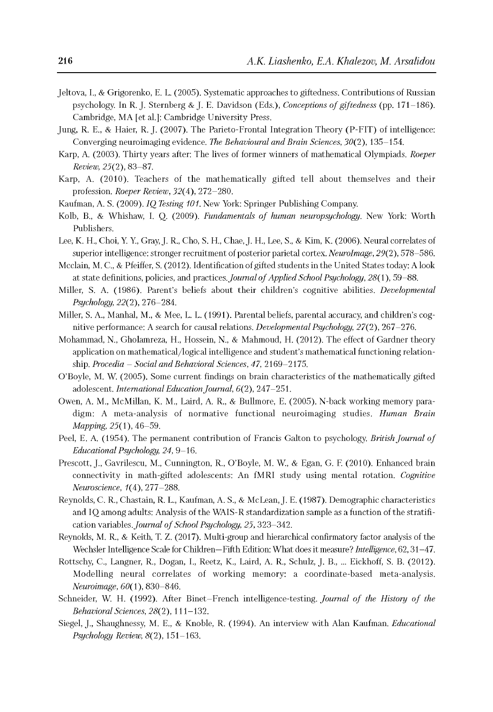- Jeltova, I., & Grigorenko, E. L. (2005). Systematic approaches to giftedness. Contributions of Russian psychology. In R. J. Sternberg & J. E. Davidson (Eds.), *Conceptions o f giftedness* (pp. 171-186). Cambridge, MA [et al.]: Cambridge University Press.
- Jung, R. E., & Haier, R. J. (2007). The Parieto-Frontal Integration Theory (P-FIT) of intelligence: Converging neuroimaging evidence. *The Behavioural and Brain Sciences,* 30(2), 135-154.
- Karp, A. (2003). Thirty years after: The lives of former winners of mathematical Olympiads. *Roeper Review,* 25(2), 83-87.
- Karp, A. (2010). Teachers of the mathematically gifted tell about themselves and their profession. *Roeper Review*, *32*(4), 272-280.
- Kaufman, A. S. (2009). *IQ Testing 101.* New York: Springer Publishing Company.
- Kolb, B., & Whishaw, I. Q. (2009). *Fundamentals of human neuropsychology*. New York: Worth Publishers.
- Lee, K. H., Choi, Y. Y., Gray, J. R., Cho, S. H., Chae, J. H., Lee, S., & Kim, K. (2006). Neural correlates of superior intelligence: stronger recruitment of posterior parietal cortex. *NeuroImage,* 29(2), 578-586.
- Mcclain, M. C., & Pfeiffer, S. (2012). Identification of gifted students in the United States today: A look at state definitions, policies, and practices. *Journal of Applied School Psychology*, 28(1), 59–88.
- Miller, S. A. (1986). Parent's beliefs about their children's cognitive abilities. *Developmental Psychology, 22*(2), 276-284.
- Miller, S. A., Manhal, M., & Mee, L. L. (1991). Parental beliefs, parental accuracy, and children's cognitive performance: A search for causal relations. *Developmental Psychology,* 27(2), 267-276.
- Mohammad, N., Gholamreza, H., Hossein, N., & Mahmoud, H. (2012). The effect of Gardner theory application on mathematical/logical intelligence and student's mathematical functioning relationship. *Procedia - Social and Behavioral Sciences, 47,* 2169-2175.
- O'Boyle, M. W. (2005). Some current findings on brain characteristics of the mathematically gifted adolescent. *International Education Journal,* 6(2), 247-251.
- Owen, A. M., McMillan, K. M., Laird, A. R., & Bullmore, E. (2005). N-back working memory paradigm: A meta-analysis of normative functional neuroimaging studies. *Human Brain Mapping,* 25(1), 46-59.
- Peel, E. A. (1954). The permanent contribution of Francis Galton to psychology. *British Journal of Educational Psychology, 24,* 9-16.
- Prescott, J., Gavrilescu, M., Cunnington, R., O'Boyle, M. W., & Egan, G. F. (2010). Enhanced brain connectivity in math-gifted adolescents: An fMRI study using mental rotation. *Cognitive Neuroscience*, *1*(4), 277-288.
- Reynolds, C. R., Chastain, R. L., Kaufman, A. S., & McLean, J. E. (1987). Demographic characteristics and IQ among adults: Analysis of the WAIS-R standardization sample as a function of the stratification variables. *Journal of School Psychology*, 25, 323–342.
- Reynolds, M. R., & Keith, T. Z. (2017). Multi-group and hierarchical confirmatory factor analysis of the Wechsler Intelligence Scale for Children—Fifth Edition: What does it measure? *Intelligence,* 62, 31-47.
- Rottschy, C., Langner, R., Dogan, I., Reetz, K., Laird, A. R., Schulz, J. B..... Eickhoff, S. B. (2012). Modelling neural correlates of working memory: a coordinate-based meta-analysis. *Neuroimage,* 60(1), 830-846.
- Schneider, W. H. (1992). After Binet-French intelligence-testing. *Journal of the History of the Behavioral Sciences,* 28(2), 111-132.
- Siegel, J., Shaughnessy, M. E., & Knoble, R. (1994). An interview with Alan Kaufman. *Educational Psychology Review,* 8(2), 151-163.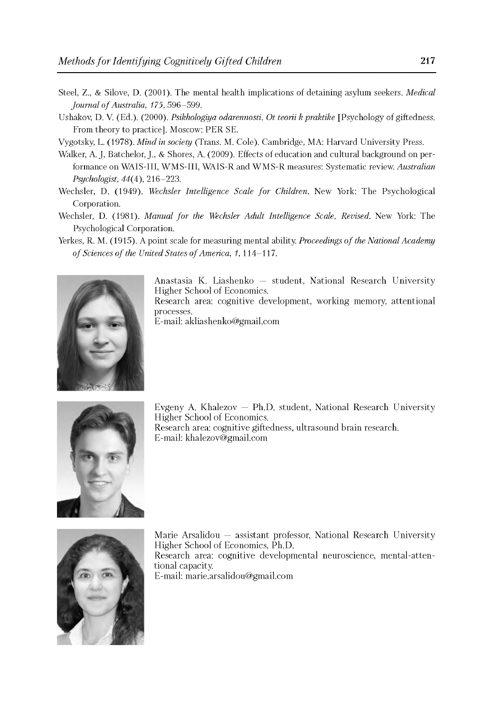- Steel, Z., & Silove, D. (2001). The mental health implications of detaining asylum seekers. *Medical Journal o f Australia, 175,* 596-599.
- Ushakov, D. V. (Ed.). (2000). *Psikhologiya odarennosti. Ot teorii k praktike* [Psychology of giftedness. From theory to practice]. Moscow: PER SE.
- Vygotsky, L. (1978). *Mind in society* (Trans. M. Cole). Cambridge, MA: Harvard University Press.
- Walker, A. J, Batchelor, J., & Shores, A. (2009). Effects of education and cultural background on performance on WAIS-III, WMS-III, WAIS-R and WMS-R measures: Systematic review. *Australian Psychologist,* 44(4), 216-223.
- Wechsler, D. (1949). *Wechsler Intelligence Scale for Children*. New York: The Psychological Corporation.
- Wechsler, D. (1981). *Manual for the Wechsler Adult Intelligence Scale, Revised*. New York: The Psychological Corporation.
- Yerkes, R. M. (1915). A point scale for measuring mental ability. *Proceedings of the National Academy of Sciences of the United States of America, 1,* 114-117.



Anastasia K. Liashenko — student, National Research University Higher School of Economics. Research area: cognitive development, working memory, attentional processes.

E-mail: [akliashenko@gmail.com](mailto:akliashenko@gmail.com)



Evgeny A. Khalezov — Ph.D. student, National Research University Higher School of Economics. Research area: cognitive giftedness, ultrasound brain research. E-mail: [khalezov@gmail.com](mailto:khalezov@gmail.com)



Marie Arsalidou — assistant professor, National Research University Higher School of Economics, Ph.D. Research area: cognitive developmental neuroscience, mental-attentional capacity. E-mail: [marie.arsalidou@gmail.com](mailto:marie.arsalidou@gmail.com)